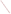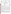

#### **UNITED STATES ENVIRONMENTAL PROTECTION AGENCY**  Office of Research and Development Washington, D.C. 20460



#### **ENVIRONMENTAL TECHNOLOGY VERIFICATION PROGRAM VERIFICATION STATEMENT**

| TECHNOLOGY TYPE:                  | FIELD-PORTABLE GAS CHROMATOGRAPH                                                                                       |
|-----------------------------------|------------------------------------------------------------------------------------------------------------------------|
| APPLICATION:                      | <b>MEASUREMENT OF CHLORINATED VOLATILE ORGANIC</b><br><b>COMPOUNDS IN WATER</b>                                        |
| TECHNOLOGY NAME:                  | <b>Voyager</b>                                                                                                         |
| <b>COMPANY</b><br><b>ADDRESS:</b> | <b>Perkin-Elmer Corporation - Photovac Monitoring Instruments</b><br><b>50 Danbury Road</b><br><b>Wilton, CT 06897</b> |
| PHONE:                            | (203) 761-2557                                                                                                         |

## **PROGRAM DESCRIPTION**

The U.S. Environmental Protection Agency (EPA) created the Environmental Technology Verification Program (ETV) to facilitate the deployment of innovative environmental technologies through verification of performance and dissemination of information. The goal of the ETV program is to further environmental protection by substantially accelerating the acceptance and use of improved and cost-effective technologies. The ETV program is intended to assist and inform those involved in the design, distribution, permitting, and purchase of environmental technologies.

Under this program, in partnership with recognized testing organizations, and with the full participation of the technology developer, the EPA evaluates the performance of innovative technologies by developing demonstration plans, conducting field tests, collecting and analyzing the demonstration results, and preparing reports. The testing is conducted in accordance with rigorous quality assurance protocols to ensure that data of known and adequate quality are generated and that the results are defensible. The EPA National Exposure Research Laboratory, in cooperation with Sandia National Laboratories, the testing organization, evaluated field-portable systems for monitoring chlorinated volatile organic compounds (VOCs) in water. This verification statement provides a summary of the demonstration and results for the Perkin-Elmer Photovac, Voyager field-portable gas chromatograph (GC).

## **DEMONSTRATION DESCRIPTION**

The field demonstration of the Voyager portable GC was held in September 1997. The demonstration was designed to assess the instrument's ability to detect and measure chlorinated VOCs in groundwater at two contaminated sites: the Department of Energy's Savannah River Site, near Aiken, South Carolina, and the McClellan Air Force Base, near Sacramento, California. Groundwater samples from each site were supplemented with performance evaluation (PE) samples of known composition. Both sample types were used to assess instrument accuracy, precision, sample throughput, and comparability to reference laboratory results. The primary target compounds at the Savannah River Site were trichloroethene and tetrachloroethene. At McClellan Air Force Base, the target compounds were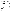trichloroethene, tetrachloroethene, 1,2-dichloroethane, 1,1,2-trichloroethane, 1,2-dichloropropane, and *trans*-1,3 dichloropropene. These sites were chosen because they contain varied concentrations of chlorinated VOCs and exhibit different climatic and geological conditions. The conditions at these sites are typical, but not inclusive, of those under which this technology would be expected to operate. A complete description of the demonstration, including a data summary and discussion of results, may be found in the report entitled *Environmental Technology Verification Report, Field-Portable Gas Chromatograph, Perkin-Elmer Photovac, Voyager*. (EPA/600/R-98/144).

## **TECHNOLOGY DESCRIPTION**

Gas chromatography with electron capture detection is a proven analytical technology that has been used in environmental laboratories for many years. The gas chromatographic column separates the sample into individual components. The electron capture detector measures a change in electron current from a sealed radioactive source as compounds exit the chromatographic column, move through the detector, and capture electrons. The electron capture detector is particularly sensitive to chlorinated compounds. Compounds are identified by matching the column retention time of sample components, run under controlled temperature conditions, to those of standard mixtures run under similar conditions. Quantitation is achieved by comparing the detector response intensity of the sample component and the standard. A GC offers some potential for identification of unknown components in a mixture; however, a confirmational analysis by an alternative method is often advisable. Portable GC is a versatile technique that can be used to provide rapid screening data or routine monitoring of groundwater samples. In many GC systems, the instrument configuration can also be quickly changed to accommodate different sample matrices such as soil, soil gas, water, or air. As with all field analytical studies, it may be necessary to send a portion of the samples to an independent laboratory for confirmatory analyses.

The Voyager includes an on-board processor and is encapsulated in a weather-resistant case. The GC unit weighs about 15 pounds and the accessories for water analysis weigh about 33 pounds. Both units can be easily transported and operated in the rear compartment of a minivan. The instrument utilizes an equilibrium headspace technique for the analysis of VOCs in water. Instrument detection limits for many chlorinated VOCs in water are in the range of 5 to 10  $\mu$ g/L. Sample processing and analysis can be accomplished by a chemical technician with 1 day of training; however, instrument method development and initial calibration may require additional experience and training. At the time of the demonstration, the baseline cost of the Voyager and headspace sampling accessories was \$24,000. Operational costs, which take into account consumable supplies, are on the order of \$25 per 8-hour day.

# **VERIFICATION OF PERFORMANCE**

The following performance characteristics of the Voyager were observed:

*Sample Throughput:* Throughput was one to three samples per hour. This rate includes the periodic analysis of blanks and calibration check samples. The sample throughput rate is influenced by the complexity of the sample, with less complex samples yielding higher throughput rates.

*Completeness:* The Voyager reported results for all 166 PE evaluation and groundwater samples provided for analysis at the two demonstration sites.

*Analytical Versatility:* The Voyager was calibrated for and detected 75% (24 of 32) of the PE sample VOCs provided for analysis at the demonstration. Three pairs of coeluting compounds were encountered in the GC methods used during this demonstration. For the groundwater contaminant compounds for which it was calibrated, the Voyager detected 39 of the 44 compounds reported by the reference laboratory at concentration levels in excess of  $1 \mu g/L$ . A total of 68 compounds were detected by the reference laboratory in all groundwater samples.

*Precision:* Precision was determined by analyzing sets of four replicate samples from a variety of PE mixtures containing known concentrations of chlorinated VOCs. The results are reported in terms of relative standard deviations (RSD). The RSDs compiled for all reported compounds from both sites had a median value of 20% and a 95<sup>th</sup> percentile value of 69%. By comparison, the compiled RSDs from the reference laboratory had a median